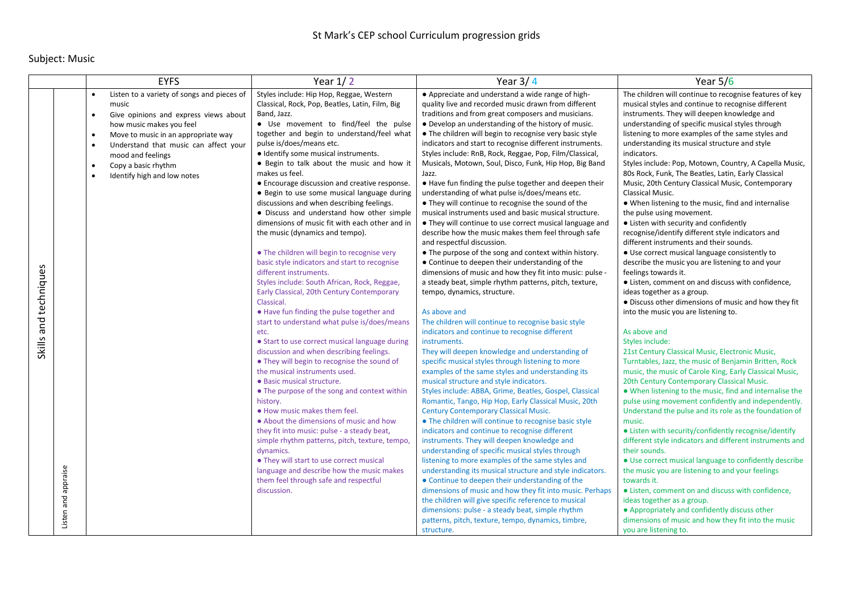## Subject: Music

|                                              | <b>EYFS</b>                                                                                                                                                                                                                                                                                                                                                       | Year $1/2$                                                                                                                                                                                                                                                                                                                                                                                                                                                                                                                                                                                                                                                                                                                                                                                                                                                                                                                                                                                                                                                                                                                                                                                                                                                                                                                                                                                                                                                                                                                                                                        | Year $3/4$                                                                                                                                                                                                                                                                                                                                                                                                                                                                                                                                                                                                                                                                                                                                                                                                                                                                                                                                                                                                                                                                                                                                                                                                                                                                                                                                                                                                                                                                                                                                                                                                                                                                                                                                                                                                                                                                                                                                                                                                                                                                                                                                                                                                                                                                   | Year $5/6$                                                                                                                                                                                                                                                                                                                                                                                                                                                                                                                                                                                                                                                                                                                                                                                                                                                                                                                                                                                                                                                                                                                                                                                                                                                                                                                                                                                                                                                                                                                                                                                                                                                                                                                                                                                                                                                                                                                                                                                                          |
|----------------------------------------------|-------------------------------------------------------------------------------------------------------------------------------------------------------------------------------------------------------------------------------------------------------------------------------------------------------------------------------------------------------------------|-----------------------------------------------------------------------------------------------------------------------------------------------------------------------------------------------------------------------------------------------------------------------------------------------------------------------------------------------------------------------------------------------------------------------------------------------------------------------------------------------------------------------------------------------------------------------------------------------------------------------------------------------------------------------------------------------------------------------------------------------------------------------------------------------------------------------------------------------------------------------------------------------------------------------------------------------------------------------------------------------------------------------------------------------------------------------------------------------------------------------------------------------------------------------------------------------------------------------------------------------------------------------------------------------------------------------------------------------------------------------------------------------------------------------------------------------------------------------------------------------------------------------------------------------------------------------------------|------------------------------------------------------------------------------------------------------------------------------------------------------------------------------------------------------------------------------------------------------------------------------------------------------------------------------------------------------------------------------------------------------------------------------------------------------------------------------------------------------------------------------------------------------------------------------------------------------------------------------------------------------------------------------------------------------------------------------------------------------------------------------------------------------------------------------------------------------------------------------------------------------------------------------------------------------------------------------------------------------------------------------------------------------------------------------------------------------------------------------------------------------------------------------------------------------------------------------------------------------------------------------------------------------------------------------------------------------------------------------------------------------------------------------------------------------------------------------------------------------------------------------------------------------------------------------------------------------------------------------------------------------------------------------------------------------------------------------------------------------------------------------------------------------------------------------------------------------------------------------------------------------------------------------------------------------------------------------------------------------------------------------------------------------------------------------------------------------------------------------------------------------------------------------------------------------------------------------------------------------------------------------|---------------------------------------------------------------------------------------------------------------------------------------------------------------------------------------------------------------------------------------------------------------------------------------------------------------------------------------------------------------------------------------------------------------------------------------------------------------------------------------------------------------------------------------------------------------------------------------------------------------------------------------------------------------------------------------------------------------------------------------------------------------------------------------------------------------------------------------------------------------------------------------------------------------------------------------------------------------------------------------------------------------------------------------------------------------------------------------------------------------------------------------------------------------------------------------------------------------------------------------------------------------------------------------------------------------------------------------------------------------------------------------------------------------------------------------------------------------------------------------------------------------------------------------------------------------------------------------------------------------------------------------------------------------------------------------------------------------------------------------------------------------------------------------------------------------------------------------------------------------------------------------------------------------------------------------------------------------------------------------------------------------------|
| Skills and techniques<br>Listen and appraise | Listen to a variety of songs and pieces of<br>$\bullet$<br>music<br>Give opinions and express views about<br>$\bullet$<br>how music makes you feel<br>Move to music in an appropriate way<br>$\bullet$<br>Understand that music can affect your<br>$\bullet$<br>mood and feelings<br>Copy a basic rhythm<br>$\bullet$<br>Identify high and low notes<br>$\bullet$ | Styles include: Hip Hop, Reggae, Western<br>Classical, Rock, Pop, Beatles, Latin, Film, Big<br>Band, Jazz.<br>• Use movement to find/feel the pulse<br>together and begin to understand/feel what<br>pulse is/does/means etc.<br>· Identify some musical instruments.<br>• Begin to talk about the music and how it<br>makes us feel.<br>• Encourage discussion and creative response.<br>• Begin to use some musical language during<br>discussions and when describing feelings.<br>• Discuss and understand how other simple<br>dimensions of music fit with each other and in<br>the music (dynamics and tempo).<br>• The children will begin to recognise very<br>basic style indicators and start to recognise<br>different instruments.<br>Styles include: South African, Rock, Reggae,<br>Early Classical, 20th Century Contemporary<br>Classical.<br>• Have fun finding the pulse together and<br>start to understand what pulse is/does/means<br>etc.<br>• Start to use correct musical language during<br>discussion and when describing feelings.<br>• They will begin to recognise the sound of<br>the musical instruments used.<br>· Basic musical structure.<br>• The purpose of the song and context within<br>history.<br>. How music makes them feel.<br>• About the dimensions of music and how<br>they fit into music: pulse - a steady beat,<br>simple rhythm patterns, pitch, texture, tempo,<br>dynamics.<br>• They will start to use correct musical<br>language and describe how the music makes<br>them feel through safe and respectful<br>discussion. | • Appreciate and understand a wide range of high-<br>quality live and recorded music drawn from different<br>traditions and from great composers and musicians.<br>• Develop an understanding of the history of music.<br>• The children will begin to recognise very basic style<br>indicators and start to recognise different instruments.<br>Styles include: RnB, Rock, Reggae, Pop, Film/Classical,<br>Musicals, Motown, Soul, Disco, Funk, Hip Hop, Big Band<br>Jazz.<br>• Have fun finding the pulse together and deepen their<br>understanding of what pulse is/does/means etc.<br>• They will continue to recognise the sound of the<br>musical instruments used and basic musical structure.<br>• They will continue to use correct musical language and<br>describe how the music makes them feel through safe<br>and respectful discussion.<br>• The purpose of the song and context within history.<br>• Continue to deepen their understanding of the<br>dimensions of music and how they fit into music: pulse -<br>a steady beat, simple rhythm patterns, pitch, texture,<br>tempo, dynamics, structure.<br>As above and<br>The children will continue to recognise basic style<br>indicators and continue to recognise different<br>instruments.<br>They will deepen knowledge and understanding of<br>specific musical styles through listening to more<br>examples of the same styles and understanding its<br>musical structure and style indicators.<br>Styles include: ABBA, Grime, Beatles, Gospel, Classical<br>Romantic, Tango, Hip Hop, Early Classical Music, 20th<br><b>Century Contemporary Classical Music.</b><br>• The children will continue to recognise basic style<br>indicators and continue to recognise different<br>instruments. They will deepen knowledge and<br>understanding of specific musical styles through<br>listening to more examples of the same styles and<br>understanding its musical structure and style indicators.<br>• Continue to deepen their understanding of the<br>dimensions of music and how they fit into music. Perhaps<br>the children will give specific reference to musical<br>dimensions: pulse - a steady beat, simple rhythm<br>patterns, pitch, texture, tempo, dynamics, timbre,<br>structure. | The children will continue to recognise features of key<br>musical styles and continue to recognise different<br>instruments. They will deepen knowledge and<br>understanding of specific musical styles through<br>listening to more examples of the same styles and<br>understanding its musical structure and style<br>indicators.<br>Styles include: Pop, Motown, Country, A Capella Music,<br>80s Rock, Funk, The Beatles, Latin, Early Classical<br>Music, 20th Century Classical Music, Contemporary<br>Classical Music.<br>. When listening to the music, find and internalise<br>the pulse using movement.<br>• Listen with security and confidently<br>recognise/identify different style indicators and<br>different instruments and their sounds.<br>· Use correct musical language consistently to<br>describe the music you are listening to and your<br>feelings towards it.<br>• Listen, comment on and discuss with confidence,<br>ideas together as a group.<br>• Discuss other dimensions of music and how they fit<br>into the music you are listening to.<br>As above and<br>Styles include:<br>21st Century Classical Music, Electronic Music,<br>Turntables, Jazz, the music of Benjamin Britten, Rock<br>music, the music of Carole King, Early Classical Music,<br>20th Century Contemporary Classical Music.<br>• When listening to the music, find and internalise the<br>pulse using movement confidently and independently.<br>Understand the pulse and its role as the foundation of<br>music.<br>• Listen with security/confidently recognise/identify<br>different style indicators and different instruments and<br>their sounds.<br>• Use correct musical language to confidently describe<br>the music you are listening to and your feelings<br>towards it.<br>• Listen, comment on and discuss with confidence,<br>ideas together as a group.<br>• Appropriately and confidently discuss other<br>dimensions of music and how they fit into the music<br>you are listening to. |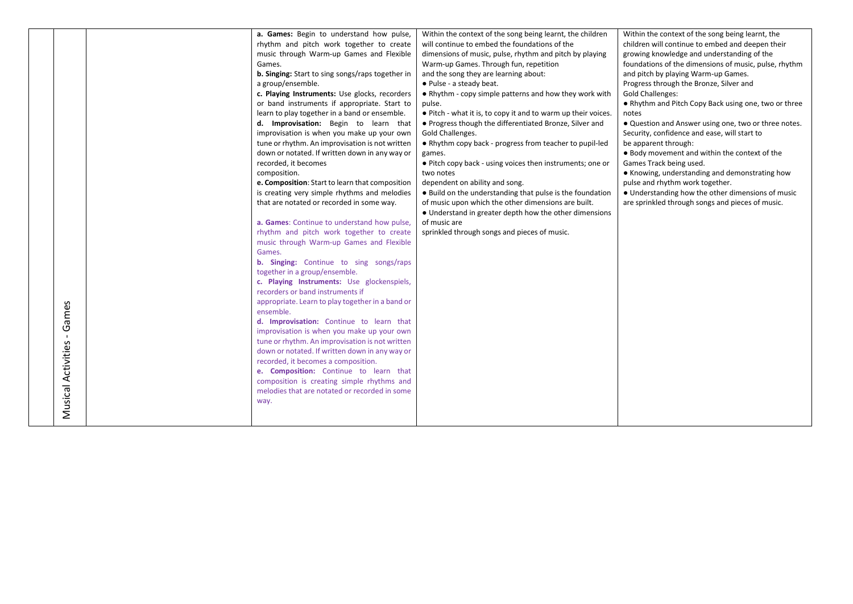|            | a. Games: Begin to understand how pulse,                | Within the context of the song being learnt, the children     | Within the context of the song being learnt, the      |
|------------|---------------------------------------------------------|---------------------------------------------------------------|-------------------------------------------------------|
|            | rhythm and pitch work together to create                | will continue to embed the foundations of the                 | children will continue to embed and deepen their      |
|            | music through Warm-up Games and Flexible                | dimensions of music, pulse, rhythm and pitch by playing       | growing knowledge and understanding of the            |
|            | Games.                                                  | Warm-up Games. Through fun, repetition                        | foundations of the dimensions of music, pulse, rhythm |
|            | <b>b. Singing:</b> Start to sing songs/raps together in | and the song they are learning about:                         | and pitch by playing Warm-up Games.                   |
|            | a group/ensemble.                                       | • Pulse - a steady beat.                                      | Progress through the Bronze, Silver and               |
|            | c. Playing Instruments: Use glocks, recorders           | • Rhythm - copy simple patterns and how they work with        | <b>Gold Challenges:</b>                               |
|            | or band instruments if appropriate. Start to            | pulse.                                                        | • Rhythm and Pitch Copy Back using one, two or three  |
|            | learn to play together in a band or ensemble.           | • Pitch - what it is, to copy it and to warm up their voices. | notes                                                 |
|            | d. Improvisation: Begin to learn that                   | • Progress though the differentiated Bronze, Silver and       | • Question and Answer using one, two or three notes.  |
|            | improvisation is when you make up your own              | Gold Challenges.                                              | Security, confidence and ease, will start to          |
|            | tune or rhythm. An improvisation is not written         | • Rhythm copy back - progress from teacher to pupil-led       | be apparent through:                                  |
|            | down or notated. If written down in any way or          | games.                                                        | . Body movement and within the context of the         |
|            | recorded, it becomes                                    | • Pitch copy back - using voices then instruments; one or     | Games Track being used.                               |
|            | composition.                                            | two notes                                                     | • Knowing, understanding and demonstrating how        |
|            | e. Composition: Start to learn that composition         | dependent on ability and song.                                | pulse and rhythm work together.                       |
|            | is creating very simple rhythms and melodies            | • Build on the understanding that pulse is the foundation     | • Understanding how the other dimensions of music     |
|            | that are notated or recorded in some way.               | of music upon which the other dimensions are built.           | are sprinkled through songs and pieces of music.      |
|            |                                                         | • Understand in greater depth how the other dimensions        |                                                       |
|            | a. Games: Continue to understand how pulse,             | of music are                                                  |                                                       |
|            | rhythm and pitch work together to create                | sprinkled through songs and pieces of music.                  |                                                       |
|            | music through Warm-up Games and Flexible                |                                                               |                                                       |
|            | Games.                                                  |                                                               |                                                       |
|            | <b>b. Singing:</b> Continue to sing songs/raps          |                                                               |                                                       |
|            | together in a group/ensemble.                           |                                                               |                                                       |
|            | c. Playing Instruments: Use glockenspiels,              |                                                               |                                                       |
|            | recorders or band instruments if                        |                                                               |                                                       |
|            | appropriate. Learn to play together in a band or        |                                                               |                                                       |
| ames       | ensemble.                                               |                                                               |                                                       |
|            | d. Improvisation: Continue to learn that                |                                                               |                                                       |
| O          | improvisation is when you make up your own              |                                                               |                                                       |
|            | tune or rhythm. An improvisation is not written         |                                                               |                                                       |
| Activities | down or notated. If written down in any way or          |                                                               |                                                       |
|            | recorded, it becomes a composition.                     |                                                               |                                                       |
|            | e. Composition: Continue to learn that                  |                                                               |                                                       |
|            | composition is creating simple rhythms and              |                                                               |                                                       |
|            | melodies that are notated or recorded in some           |                                                               |                                                       |
| Musical    | way.                                                    |                                                               |                                                       |
|            |                                                         |                                                               |                                                       |
|            |                                                         |                                                               |                                                       |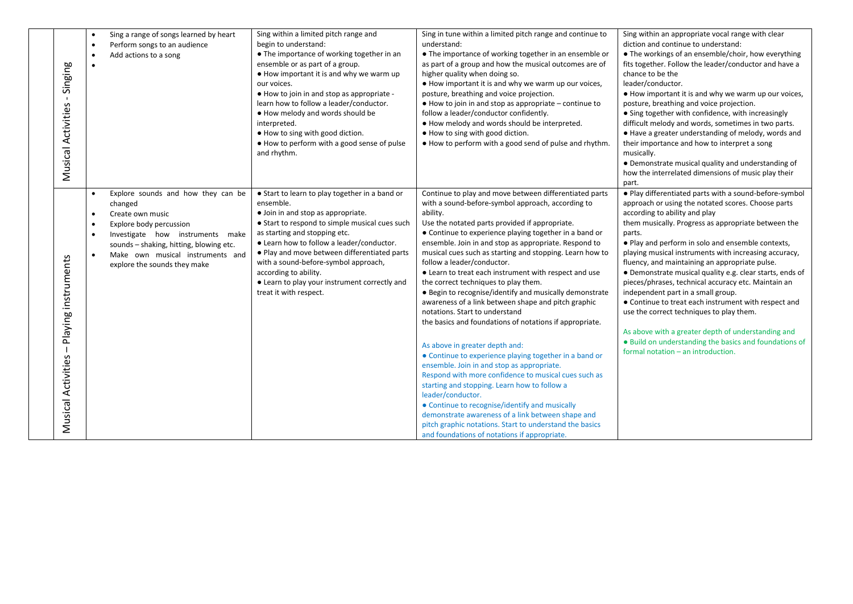| Singing<br>$\mathbf{I}$<br>Musical Activities    | $\bullet$<br>$\bullet$ | Sing a range of songs learned by heart<br>Perform songs to an audience<br>Add actions to a song                                                                                                                                      | Sing within a limited pitch range and<br>begin to understand:<br>• The importance of working together in an<br>ensemble or as part of a group.<br>. How important it is and why we warm up<br>our voices.<br>• How to join in and stop as appropriate -<br>learn how to follow a leader/conductor.<br>. How melody and words should be<br>interpreted.<br>. How to sing with good diction.<br>• How to perform with a good sense of pulse<br>and rhythm. | Sing in tune within a limited pitch range and continue to<br>understand:<br>• The importance of working together in an ensemble or<br>as part of a group and how the musical outcomes are of<br>higher quality when doing so.<br>. How important it is and why we warm up our voices,<br>posture, breathing and voice projection.<br>$\bullet$ How to join in and stop as appropriate – continue to<br>follow a leader/conductor confidently.<br>. How melody and words should be interpreted.<br>. How to sing with good diction.<br>. How to perform with a good send of pulse and rhythm.                                                                                                                                                                                                                                                                                                                                                                                                                                                                                                                                                                                                    | Sing within an appropriate vocal range with clear<br>diction and continue to understand:<br>• The workings of an ensemble/choir, how everything<br>fits together. Follow the leader/conductor and have a<br>chance to be the<br>leader/conductor.<br>• How important it is and why we warm up our voices,<br>posture, breathing and voice projection.<br>• Sing together with confidence, with increasingly<br>difficult melody and words, sometimes in two parts.<br>• Have a greater understanding of melody, words and<br>their importance and how to interpret a song<br>musically.<br>• Demonstrate musical quality and understanding of<br>how the interrelated dimensions of music play their<br>part.                                                                                     |
|--------------------------------------------------|------------------------|--------------------------------------------------------------------------------------------------------------------------------------------------------------------------------------------------------------------------------------|----------------------------------------------------------------------------------------------------------------------------------------------------------------------------------------------------------------------------------------------------------------------------------------------------------------------------------------------------------------------------------------------------------------------------------------------------------|-------------------------------------------------------------------------------------------------------------------------------------------------------------------------------------------------------------------------------------------------------------------------------------------------------------------------------------------------------------------------------------------------------------------------------------------------------------------------------------------------------------------------------------------------------------------------------------------------------------------------------------------------------------------------------------------------------------------------------------------------------------------------------------------------------------------------------------------------------------------------------------------------------------------------------------------------------------------------------------------------------------------------------------------------------------------------------------------------------------------------------------------------------------------------------------------------|---------------------------------------------------------------------------------------------------------------------------------------------------------------------------------------------------------------------------------------------------------------------------------------------------------------------------------------------------------------------------------------------------------------------------------------------------------------------------------------------------------------------------------------------------------------------------------------------------------------------------------------------------------------------------------------------------------------------------------------------------------------------------------------------------|
| Playing instruments<br><b>Musical Activities</b> | changed<br>$\bullet$   | Explore sounds and how they can be<br>Create own music<br>Explore body percussion<br>Investigate how instruments make<br>sounds - shaking, hitting, blowing etc.<br>Make own musical instruments and<br>explore the sounds they make | • Start to learn to play together in a band or<br>ensemble.<br>· Join in and stop as appropriate.<br>• Start to respond to simple musical cues such<br>as starting and stopping etc.<br>• Learn how to follow a leader/conductor.<br>. Play and move between differentiated parts<br>with a sound-before-symbol approach,<br>according to ability.<br>• Learn to play your instrument correctly and<br>treat it with respect.                            | Continue to play and move between differentiated parts<br>with a sound-before-symbol approach, according to<br>ability.<br>Use the notated parts provided if appropriate.<br>• Continue to experience playing together in a band or<br>ensemble. Join in and stop as appropriate. Respond to<br>musical cues such as starting and stopping. Learn how to<br>follow a leader/conductor.<br>• Learn to treat each instrument with respect and use<br>the correct techniques to play them.<br>• Begin to recognise/identify and musically demonstrate<br>awareness of a link between shape and pitch graphic<br>notations. Start to understand<br>the basics and foundations of notations if appropriate.<br>As above in greater depth and:<br>• Continue to experience playing together in a band or<br>ensemble. Join in and stop as appropriate.<br>Respond with more confidence to musical cues such as<br>starting and stopping. Learn how to follow a<br>leader/conductor.<br>• Continue to recognise/identify and musically<br>demonstrate awareness of a link between shape and<br>pitch graphic notations. Start to understand the basics<br>and foundations of notations if appropriate. | . Play differentiated parts with a sound-before-symbol<br>approach or using the notated scores. Choose parts<br>according to ability and play<br>them musically. Progress as appropriate between the<br>parts.<br>• Play and perform in solo and ensemble contexts,<br>playing musical instruments with increasing accuracy,<br>fluency, and maintaining an appropriate pulse.<br>• Demonstrate musical quality e.g. clear starts, ends of<br>pieces/phrases, technical accuracy etc. Maintain an<br>independent part in a small group.<br>• Continue to treat each instrument with respect and<br>use the correct techniques to play them.<br>As above with a greater depth of understanding and<br>. Build on understanding the basics and foundations of<br>formal notation - an introduction. |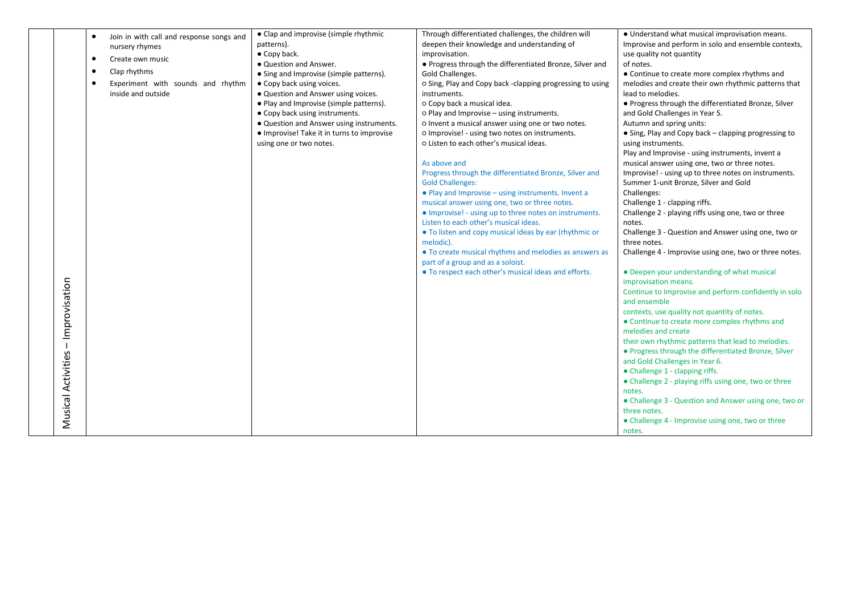|                    |           |                                          | • Clap and improvise (simple rhythmic      | Through differentiated challenges, the children will      | • Understand what musical improvisation means.                                |
|--------------------|-----------|------------------------------------------|--------------------------------------------|-----------------------------------------------------------|-------------------------------------------------------------------------------|
|                    | $\bullet$ | Join in with call and response songs and | patterns).                                 | deepen their knowledge and understanding of               | Improvise and perform in solo and ensemble contexts,                          |
|                    |           | nursery rhymes                           | • Copy back.                               | improvisation.                                            | use quality not quantity                                                      |
|                    | $\bullet$ | Create own music                         | · Question and Answer.                     | • Progress through the differentiated Bronze, Silver and  | of notes.                                                                     |
|                    | $\bullet$ | Clap rhythms                             | • Sing and Improvise (simple patterns).    | Gold Challenges.                                          | • Continue to create more complex rhythms and                                 |
|                    | $\bullet$ | Experiment with sounds and rhythm        | • Copy back using voices.                  | o Sing, Play and Copy back -clapping progressing to using | melodies and create their own rhythmic patterns that                          |
|                    |           | inside and outside                       | • Question and Answer using voices.        | instruments.                                              | lead to melodies.                                                             |
|                    |           |                                          | • Play and Improvise (simple patterns).    | o Copy back a musical idea.                               | . Progress through the differentiated Bronze, Silver                          |
|                    |           |                                          | • Copy back using instruments.             | o Play and Improvise - using instruments.                 | and Gold Challenges in Year 5.                                                |
|                    |           |                                          | • Question and Answer using instruments.   | o Invent a musical answer using one or two notes.         | Autumn and spring units:                                                      |
|                    |           |                                          | • Improvise! Take it in turns to improvise | o Improvise! - using two notes on instruments.            | • Sing, Play and Copy back - clapping progressing to                          |
|                    |           |                                          | using one or two notes.                    | o Listen to each other's musical ideas.                   | using instruments.                                                            |
|                    |           |                                          |                                            |                                                           | Play and Improvise - using instruments, invent a                              |
|                    |           |                                          |                                            | As above and                                              | musical answer using one, two or three notes.                                 |
|                    |           |                                          |                                            | Progress through the differentiated Bronze, Silver and    | Improvise! - using up to three notes on instruments.                          |
|                    |           |                                          |                                            | <b>Gold Challenges:</b>                                   | Summer 1-unit Bronze, Silver and Gold                                         |
|                    |           |                                          |                                            | • Play and Improvise – using instruments. Invent a        | Challenges:                                                                   |
|                    |           |                                          |                                            | musical answer using one, two or three notes.             | Challenge 1 - clapping riffs.                                                 |
|                    |           |                                          |                                            | • Improvise! - using up to three notes on instruments.    | Challenge 2 - playing riffs using one, two or three                           |
|                    |           |                                          |                                            | Listen to each other's musical ideas.                     | notes.                                                                        |
|                    |           |                                          |                                            | • To listen and copy musical ideas by ear (rhythmic or    | Challenge 3 - Question and Answer using one, two or                           |
|                    |           |                                          |                                            | melodic).                                                 | three notes.                                                                  |
|                    |           |                                          |                                            | • To create musical rhythms and melodies as answers as    | Challenge 4 - Improvise using one, two or three notes.                        |
|                    |           |                                          |                                            | part of a group and as a soloist.                         |                                                                               |
|                    |           |                                          |                                            | . To respect each other's musical ideas and efforts.      | • Deepen your understanding of what musical                                   |
|                    |           |                                          |                                            |                                                           | improvisation means.<br>Continue to Improvise and perform confidently in solo |
| - Improvisation    |           |                                          |                                            |                                                           | and ensemble                                                                  |
|                    |           |                                          |                                            |                                                           | contexts, use quality not quantity of notes.                                  |
|                    |           |                                          |                                            |                                                           | • Continue to create more complex rhythms and                                 |
|                    |           |                                          |                                            |                                                           | melodies and create                                                           |
|                    |           |                                          |                                            |                                                           | their own rhythmic patterns that lead to melodies.                            |
|                    |           |                                          |                                            |                                                           | • Progress through the differentiated Bronze, Silver                          |
|                    |           |                                          |                                            |                                                           | and Gold Challenges in Year 6.                                                |
| Musical Activities |           |                                          |                                            |                                                           | • Challenge 1 - clapping riffs.                                               |
|                    |           |                                          |                                            |                                                           | • Challenge 2 - playing riffs using one, two or three                         |
|                    |           |                                          |                                            |                                                           | notes.                                                                        |
|                    |           |                                          |                                            |                                                           | • Challenge 3 - Question and Answer using one, two or                         |
|                    |           |                                          |                                            |                                                           | three notes.                                                                  |
|                    |           |                                          |                                            |                                                           | • Challenge 4 - Improvise using one, two or three                             |
|                    |           |                                          |                                            |                                                           | notes.                                                                        |